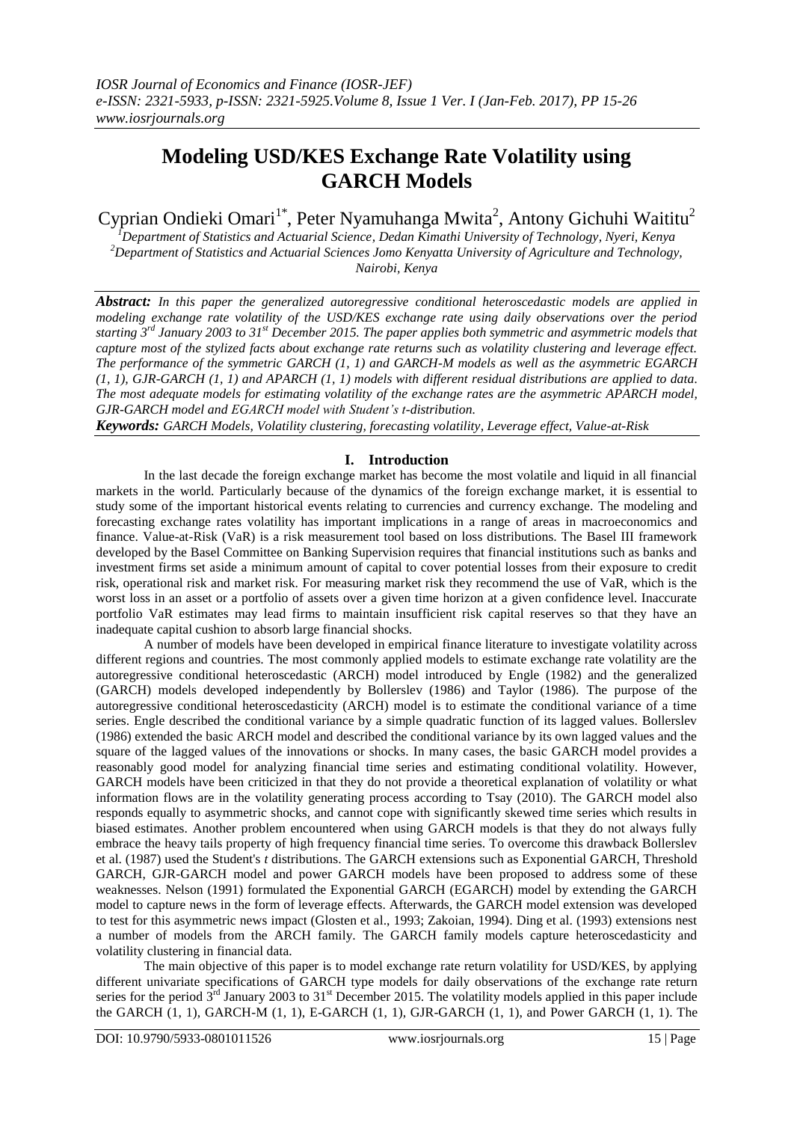# **Modeling USD/KES Exchange Rate Volatility using GARCH Models**

Cyprian Ondieki Omari<sup>1\*</sup>, Peter Nyamuhanga Mwita<sup>2</sup>, Antony Gichuhi Waititu<sup>2</sup>

*<sup>1</sup>Department of Statistics and Actuarial Science, Dedan Kimathi University of Technology, Nyeri, Kenya <sup>2</sup>Department of Statistics and Actuarial Sciences Jomo Kenyatta University of Agriculture and Technology, Nairobi, Kenya*

*Abstract: In this paper the generalized autoregressive conditional heteroscedastic models are applied in modeling exchange rate volatility of the USD/KES exchange rate using daily observations over the period starting 3rd January 2003 to 31st December 2015. The paper applies both symmetric and asymmetric models that capture most of the stylized facts about exchange rate returns such as volatility clustering and leverage effect. The performance of the symmetric GARCH (1, 1) and GARCH-M models as well as the asymmetric EGARCH (1, 1), GJR-GARCH (1, 1) and APARCH (1, 1) models with different residual distributions are applied to data. The most adequate models for estimating volatility of the exchange rates are the asymmetric APARCH model, GJR-GARCH model and EGARCH model with Student's t-distribution.*

*Keywords: GARCH Models, Volatility clustering, forecasting volatility, Leverage effect, Value-at-Risk*

## **I. Introduction**

In the last decade the foreign exchange market has become the most volatile and liquid in all financial markets in the world. Particularly because of the dynamics of the foreign exchange market, it is essential to study some of the important historical events relating to currencies and currency exchange. The modeling and forecasting exchange rates volatility has important implications in a range of areas in macroeconomics and finance. Value-at-Risk (VaR) is a risk measurement tool based on loss distributions. The Basel III framework developed by the Basel Committee on Banking Supervision requires that financial institutions such as banks and investment firms set aside a minimum amount of capital to cover potential losses from their exposure to credit risk, operational risk and market risk. For measuring market risk they recommend the use of VaR, which is the worst loss in an asset or a portfolio of assets over a given time horizon at a given confidence level. Inaccurate portfolio VaR estimates may lead firms to maintain insufficient risk capital reserves so that they have an inadequate capital cushion to absorb large financial shocks.

A number of models have been developed in empirical finance literature to investigate volatility across different regions and countries. The most commonly applied models to estimate exchange rate volatility are the autoregressive conditional heteroscedastic (ARCH) model introduced by Engle (1982) and the generalized (GARCH) models developed independently by Bollerslev (1986) and Taylor (1986). The purpose of the autoregressive conditional heteroscedasticity (ARCH) model is to estimate the conditional variance of a time series. Engle described the conditional variance by a simple quadratic function of its lagged values. Bollerslev (1986) extended the basic ARCH model and described the conditional variance by its own lagged values and the square of the lagged values of the innovations or shocks. In many cases, the basic GARCH model provides a reasonably good model for analyzing financial time series and estimating conditional volatility. However, GARCH models have been criticized in that they do not provide a theoretical explanation of volatility or what information flows are in the volatility generating process according to Tsay (2010). The GARCH model also responds equally to asymmetric shocks, and cannot cope with significantly skewed time series which results in biased estimates. Another problem encountered when using GARCH models is that they do not always fully embrace the heavy tails property of high frequency financial time series. To overcome this drawback Bollerslev et al. (1987) used the Student's *t* distributions. The GARCH extensions such as Exponential GARCH, Threshold GARCH, GJR-GARCH model and power GARCH models have been proposed to address some of these weaknesses. Nelson (1991) formulated the Exponential GARCH (EGARCH) model by extending the GARCH model to capture news in the form of leverage effects. Afterwards, the GARCH model extension was developed to test for this asymmetric news impact (Glosten et al., 1993; Zakoian, 1994). Ding et al. (1993) extensions nest a number of models from the ARCH family. The GARCH family models capture heteroscedasticity and volatility clustering in financial data.

The main objective of this paper is to model exchange rate return volatility for USD/KES, by applying different univariate specifications of GARCH type models for daily observations of the exchange rate return series for the period  $3^{rd}$  January 2003 to  $31^{st}$  December 2015. The volatility models applied in this paper include the GARCH (1, 1), GARCH-M (1, 1), E-GARCH (1, 1), GJR-GARCH (1, 1), and Power GARCH (1, 1). The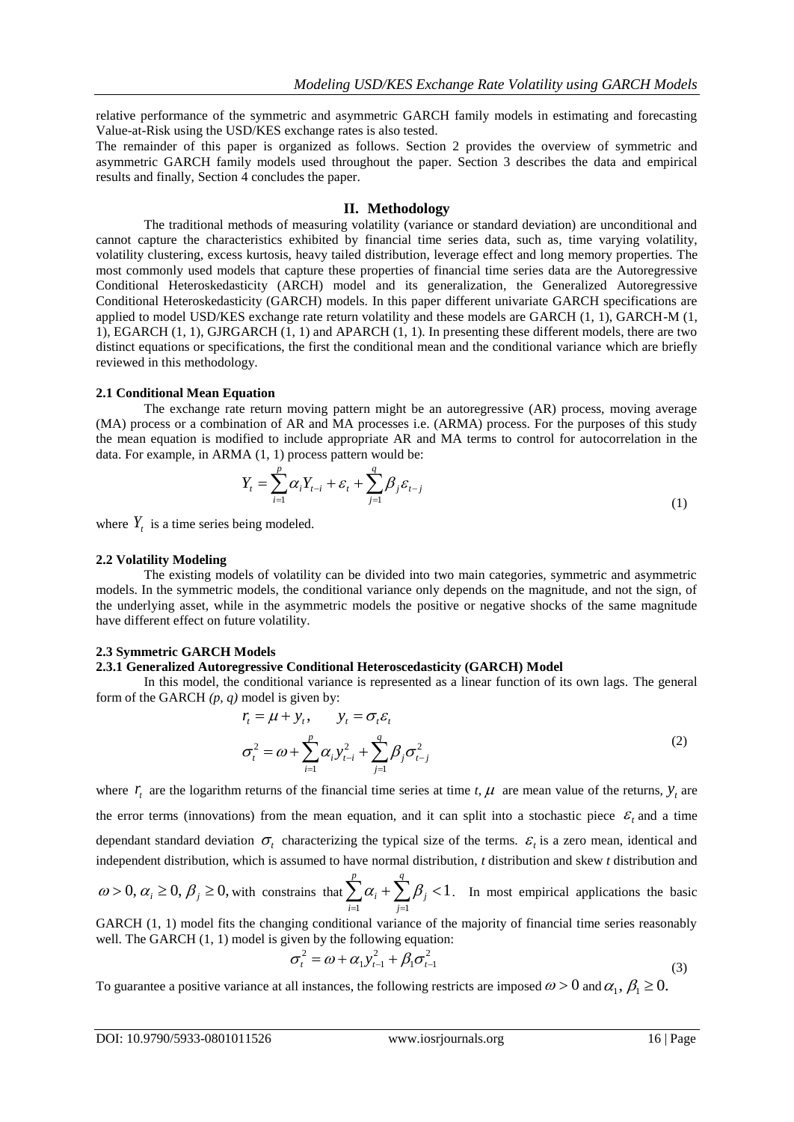relative performance of the symmetric and asymmetric GARCH family models in estimating and forecasting Value-at-Risk using the USD/KES exchange rates is also tested.

The remainder of this paper is organized as follows. Section 2 provides the overview of symmetric and asymmetric GARCH family models used throughout the paper. Section 3 describes the data and empirical results and finally, Section 4 concludes the paper.

#### **II. Methodology**

The traditional methods of measuring volatility (variance or standard deviation) are unconditional and cannot capture the characteristics exhibited by financial time series data, such as, time varying volatility, volatility clustering, excess kurtosis, heavy tailed distribution, leverage effect and long memory properties. The most commonly used models that capture these properties of financial time series data are the Autoregressive Conditional Heteroskedasticity (ARCH) model and its generalization, the Generalized Autoregressive Conditional Heteroskedasticity (GARCH) models. In this paper different univariate GARCH specifications are applied to model USD/KES exchange rate return volatility and these models are GARCH (1, 1), GARCH-M (1, 1), EGARCH (1, 1), GJRGARCH (1, 1) and APARCH (1, 1). In presenting these different models, there are two distinct equations or specifications, the first the conditional mean and the conditional variance which are briefly reviewed in this methodology.

## **2.1 Conditional Mean Equation**

The exchange rate return moving pattern might be an autoregressive (AR) process, moving average (MA) process or a combination of AR and MA processes i.e. (ARMA) process. For the purposes of this study the mean equation is modified to include appropriate AR and MA terms to control for autocorrelation in the data. For example, in ARMA (1, 1) process pattern would be:

$$
Y_{t} = \sum_{i=1}^{p} \alpha_{i} Y_{t-i} + \varepsilon_{t} + \sum_{j=1}^{q} \beta_{j} \varepsilon_{t-j}
$$
\n(1)

where  $Y_t$  is a time series being modeled.

#### **2.2 Volatility Modeling**

The existing models of volatility can be divided into two main categories, symmetric and asymmetric models. In the symmetric models, the conditional variance only depends on the magnitude, and not the sign, of the underlying asset, while in the asymmetric models the positive or negative shocks of the same magnitude have different effect on future volatility.

#### **2.3 Symmetric GARCH Models**

#### **2.3.1 Generalized Autoregressive Conditional Heteroscedasticity (GARCH) Model**

In this model, the conditional variance is represented as a linear function of its own lags. The general form of the GARCH *(p, q)* model is given by:

$$
r_{i} = \mu + y_{i}, \qquad y_{i} = \sigma_{i} \varepsilon_{i}
$$
  

$$
\sigma_{i}^{2} = \omega + \sum_{i=1}^{p} \alpha_{i} y_{i-i}^{2} + \sum_{j=1}^{q} \beta_{j} \sigma_{i-j}^{2}
$$
 (2)

where  $r_t$  are the logarithm returns of the financial time series at time *t*,  $\mu$  are mean value of the returns,  $y_t$  are the error terms (innovations) from the mean equation, and it can split into a stochastic piece  $\mathcal{E}_t$  and a time dependant standard deviation  $\sigma_t$  characterizing the typical size of the terms.  $\varepsilon_t$  is a zero mean, identical and independent distribution, which is assumed to have normal distribution, *t* distribution and skew *t* distribution and

 $\omega > 0, \alpha_i \geq 0, \beta_j \geq 0$ , with constrains that  $\sum \alpha_i + \sum \beta_j < 1$  $\sum_{i=1}^r \alpha_i + \sum_{j=1}^r \beta_j <$ *q j j p i*  $\alpha_i + \sum \beta_j < 1$ . In most empirical applications the basic

GARCH  $(1, 1)$  model fits the changing conditional variance of the majority of financial time series reasonably well. The GARCH  $(1, 1)$  model is given by the following equation:

$$
\sigma_t^2 = \omega + \alpha_1 y_{t-1}^2 + \beta_1 \sigma_{t-1}^2
$$
\n(3)

To guarantee a positive variance at all instances, the following restricts are imposed  $\omega > 0$  and  $\alpha_1, \beta_1 \ge 0$ .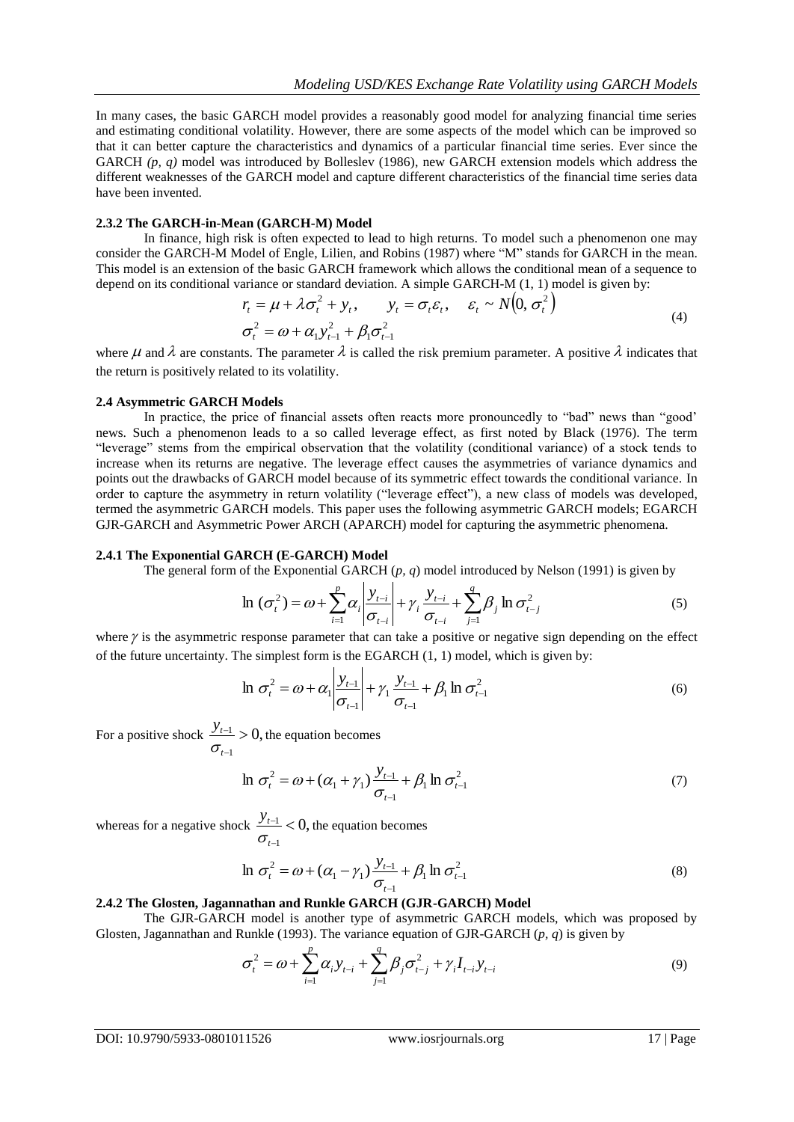In many cases, the basic GARCH model provides a reasonably good model for analyzing financial time series and estimating conditional volatility. However, there are some aspects of the model which can be improved so that it can better capture the characteristics and dynamics of a particular financial time series. Ever since the GARCH (p, q) model was introduced by Bolleslev (1986), new GARCH extension models which address the different weaknesses of the GARCH model and capture different characteristics of the financial time series data have been invented.

#### **2.3.2 The GARCH-in-Mean (GARCH-M) Model**

In finance, high risk is often expected to lead to high returns. To model such a phenomenon one may consider the GARCH-M Model of Engle, Lilien, and Robins (1987) where "M" stands for GARCH in the mean. This model is an extension of the basic GARCH framework which allows the conditional mean of a sequence to depend on its conditional variance or standard deviation. A simple GARCH-M (1, 1) model is given by:

$$
r_{t} = \mu + \lambda \sigma_{t}^{2} + y_{t}, \qquad y_{t} = \sigma_{t} \varepsilon_{t}, \quad \varepsilon_{t} \sim N(0, \sigma_{t}^{2})
$$
  

$$
\sigma_{t}^{2} = \omega + \alpha_{1} y_{t-1}^{2} + \beta_{1} \sigma_{t-1}^{2}
$$
 (4)

where  $\mu$  and  $\lambda$  are constants. The parameter  $\lambda$  is called the risk premium parameter. A positive  $\lambda$  indicates that the return is positively related to its volatility.

### **2.4 Asymmetric GARCH Models**

In practice, the price of financial assets often reacts more pronouncedly to "bad" news than "good' news. Such a phenomenon leads to a so called leverage effect, as first noted by Black (1976). The term "leverage" stems from the empirical observation that the volatility (conditional variance) of a stock tends to increase when its returns are negative. The leverage effect causes the asymmetries of variance dynamics and points out the drawbacks of GARCH model because of its symmetric effect towards the conditional variance. In order to capture the asymmetry in return volatility ("leverage effect"), a new class of models was developed, termed the asymmetric GARCH models. This paper uses the following asymmetric GARCH models; EGARCH GJR-GARCH and Asymmetric Power ARCH (APARCH) model for capturing the asymmetric phenomena.

#### **2.4.1 The Exponential GARCH (E-GARCH) Model**

The general form of the Exponential GARCH (*p, q*) model introduced by Nelson (1991) is given by

$$
\ln (\sigma_t^2) = \omega + \sum_{i=1}^p \alpha_i \left| \frac{y_{t-i}}{\sigma_{t-i}} \right| + \gamma_i \frac{y_{t-i}}{\sigma_{t-i}} + \sum_{j=1}^q \beta_j \ln \sigma_{t-j}^2
$$
 (5)

where  $\gamma$  is the asymmetric response parameter that can take a positive or negative sign depending on the effect of the future uncertainty. The simplest form is the EGARCH (1, 1) model, which is given by:

$$
\ln \sigma_t^2 = \omega + \alpha_1 \left| \frac{y_{t-1}}{\sigma_{t-1}} \right| + \gamma_1 \frac{y_{t-1}}{\sigma_{t-1}} + \beta_1 \ln \sigma_{t-1}^2 \tag{6}
$$

For a positive shock  $\frac{y_{t-1}}{y} > 0$ , 1  $\frac{1}{1}$ i, *t t y*  $\frac{t}{\sigma_{\text{eff}}} > 0$ , the equation becomes

$$
\ln \sigma_t^2 = \omega + (\alpha_1 + \gamma_1) \frac{y_{t-1}}{\sigma_{t-1}} + \beta_1 \ln \sigma_{t-1}^2
$$
\n(7)

whereas for a negative shock  $\frac{y_{t-1}}{x} < 0$ , 1  $\frac{1}{2}$ - $\overline{a}$ *t t y*  $\frac{t}{\sigma_{\text{eff}}}$  < 0, the equation becomes

$$
\ln \sigma_t^2 = \omega + (\alpha_1 - \gamma_1) \frac{y_{t-1}}{\sigma_{t-1}} + \beta_1 \ln \sigma_{t-1}^2
$$
\n(8)

#### **2.4.2 The Glosten, Jagannathan and Runkle GARCH (GJR-GARCH) Model**

The GJR-GARCH model is another type of asymmetric GARCH models, which was proposed by Glosten, Jagannathan and Runkle (1993). The variance equation of GJR-GARCH (*p, q*) is given by

$$
\sigma_t^2 = \omega + \sum_{i=1}^p \alpha_i y_{t-i} + \sum_{j=1}^q \beta_j \sigma_{t-j}^2 + \gamma_i I_{t-i} y_{t-i}
$$
\n(9)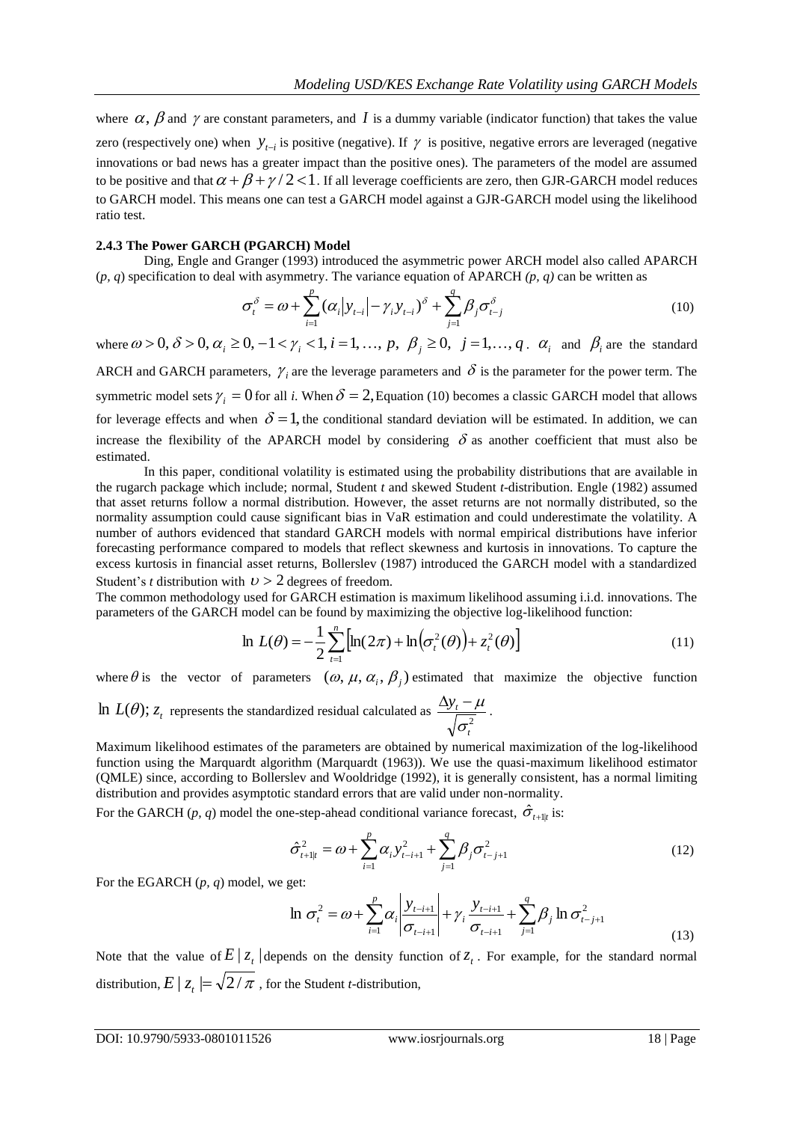where  $\alpha$ ,  $\beta$  and  $\gamma$  are constant parameters, and I is a dummy variable (indicator function) that takes the value zero (respectively one) when  $y_{t-i}$  is positive (negative). If  $\gamma$  is positive, negative errors are leveraged (negative innovations or bad news has a greater impact than the positive ones). The parameters of the model are assumed to be positive and that  $\alpha + \beta + \gamma/2 < 1$ . If all leverage coefficients are zero, then GJR-GARCH model reduces to GARCH model. This means one can test a GARCH model against a GJR-GARCH model using the likelihood ratio test.

#### **2.4.3 The Power GARCH (PGARCH) Model**

Ding, Engle and Granger (1993) introduced the asymmetric power ARCH model also called APARCH (*p, q*) specification to deal with asymmetry. The variance equation of APARCH *(p, q)* can be written as

$$
\sigma_t^{\delta} = \omega + \sum_{i=1}^p (\alpha_i |y_{t-i}| - \gamma_i y_{t-i})^{\delta} + \sum_{j=1}^q \beta_j \sigma_{t-j}^{\delta}
$$
\n(10)

where  $\omega > 0$ ,  $\delta > 0$ ,  $\alpha_i \ge 0$ ,  $-1 < \gamma_i < 1$ ,  $i = 1, ..., p$ ,  $\beta_j \ge 0$ ,  $j = 1, ..., q$ .  $\alpha_i$  and  $\beta_i$  are the standard

ARCH and GARCH parameters,  $\gamma$ <sub>i</sub> are the leverage parameters and  $\delta$  is the parameter for the power term. The symmetric model sets  $\gamma_i = 0$  for all *i*. When  $\delta = 2$ , Equation (10) becomes a classic GARCH model that allows for leverage effects and when  $\delta = 1$ , the conditional standard deviation will be estimated. In addition, we can increase the flexibility of the APARCH model by considering  $\delta$  as another coefficient that must also be estimated.

In this paper, conditional volatility is estimated using the probability distributions that are available in the rugarch package which include; normal, Student *t* and skewed Student *t*-distribution. Engle (1982) assumed that asset returns follow a normal distribution. However, the asset returns are not normally distributed, so the normality assumption could cause significant bias in VaR estimation and could underestimate the volatility. A number of authors evidenced that standard GARCH models with normal empirical distributions have inferior forecasting performance compared to models that reflect skewness and kurtosis in innovations. To capture the excess kurtosis in financial asset returns, Bollerslev (1987) introduced the GARCH model with a standardized Student's *t* distribution with  $\nu > 2$  degrees of freedom.

The common methodology used for GARCH estimation is maximum likelihood assuming i.i.d. innovations. The parameters of the GARCH model can be found by maximizing the objective log-likelihood function:

$$
\ln L(\theta) = -\frac{1}{2} \sum_{t=1}^{n} \left[ \ln(2\pi) + \ln(\sigma_t^2(\theta)) + z_t^2(\theta) \right]
$$
 (11)

where  $\theta$  is the vector of parameters  $(\omega, \mu, \alpha_i, \beta_j)$  estimated that maximize the objective function

In  $L(\theta)$ ;  $z_t$  represents the standardized residual calculated as  $\frac{\Delta y_t - \Delta z}{\sqrt{z^2}}$ *t t y*  $\sigma$  $\frac{\Delta y_t - \mu}{\sqrt{2\pi}}$ .

Maximum likelihood estimates of the parameters are obtained by numerical maximization of the log-likelihood function using the Marquardt algorithm (Marquardt (1963)). We use the quasi-maximum likelihood estimator (QMLE) since, according to Bollerslev and Wooldridge (1992), it is generally consistent, has a normal limiting distribution and provides asymptotic standard errors that are valid under non-normality.

For the GARCH (*p*, *q*) model the one-step-ahead conditional variance forecast,  $\hat{\sigma}_{t+1|t}$  is:

$$
\hat{\sigma}_{t+1|t}^{2} = \omega + \sum_{i=1}^{p} \alpha_{i} y_{t-i+1}^{2} + \sum_{j=1}^{q} \beta_{j} \sigma_{t-j+1}^{2}
$$
\n(12)

For the EGARCH (*p, q*) model, we get:

$$
\ln \sigma_t^2 = \omega + \sum_{i=1}^p \alpha_i \left| \frac{y_{t-i+1}}{\sigma_{t-i+1}} \right| + \gamma_i \frac{y_{t-i+1}}{\sigma_{t-i+1}} + \sum_{j=1}^q \beta_j \ln \sigma_{t-j+1}^2
$$
\n(13)

Note that the value of  $E | z_t |$  depends on the density function of  $z_t$ . For example, for the standard normal distribution,  $E \,|\, \overline{z}_t \,|{=}\, \sqrt{2}/\pi$  , for the Student *t*-distribution,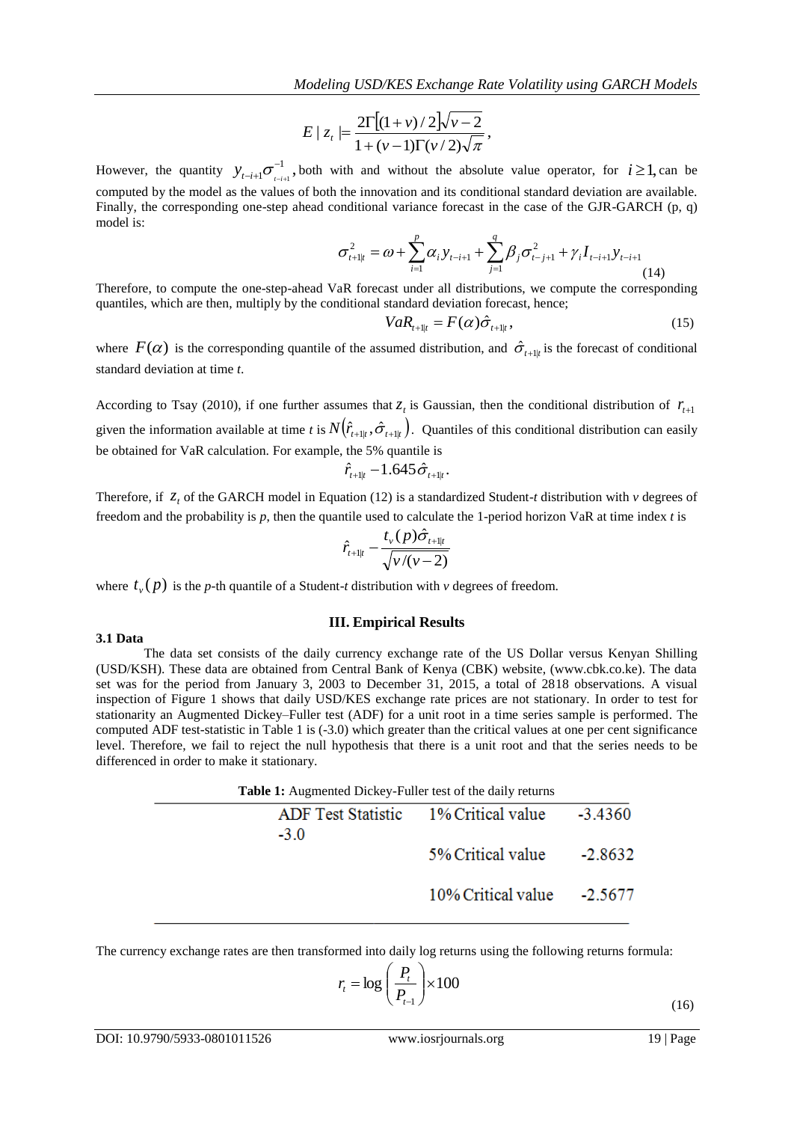$$
E \mid z_{t} \mid = \frac{2\Gamma[(1+v)/2]\sqrt{v-2}}{1+(v-1)\Gamma(v/2)\sqrt{\pi}},
$$

However, the quantity  $y_{t-i+1}\sigma^{-1}$  $1^{\bullet}$ <sub>t-i+1</sub>  $\overline{\phantom{0}}$  $y_{t-i+1} \sigma_{t-i+1}^{-1}$ , both with and without the absolute value operator, for  $i \ge 1$ , can be computed by the model as the values of both the innovation and its conditional standard deviation are available. Finally, the corresponding one-step ahead conditional variance forecast in the case of the GJR-GARCH (p, q) model is:

$$
\sigma_{t+1|t}^{2} = \omega + \sum_{i=1}^{p} \alpha_{i} y_{t-i+1} + \sum_{j=1}^{q} \beta_{j} \sigma_{t-j+1}^{2} + \gamma_{i} I_{t-i+1} y_{t-i+1}
$$
\n(14)

Therefore, to compute the one-step-ahead VaR forecast under all distributions, we compute the corresponding quantiles, which are then, multiply by the conditional standard deviation forecast, hence;

$$
VaR_{t+1|t} = F(\alpha)\hat{\sigma}_{t+1|t},\qquad(15)
$$

where  $F(\alpha)$  is the corresponding quantile of the assumed distribution, and  $\hat{\sigma}_{t+1|t}$  is the forecast of conditional standard deviation at time *t*.

According to Tsay (2010), if one further assumes that  $z_t$  is Gaussian, then the conditional distribution of  $r_{t+1}$ given the information available at time *t* is  $N(\hat{r}_{t+1|t}, \hat{\sigma}_{t+1|t})$ . Quantiles of this conditional distribution can easily be obtained for VaR calculation. For example, the 5% quantile is

$$
\hat{r}_{t+1|t} - 1.645 \hat{\sigma}_{t+1|t}.
$$

Therefore, if  $z_t$  of the GARCH model in Equation (12) is a standardized Student-*t* distribution with *v* degrees of freedom and the probability is *p*, then the quantile used to calculate the 1-period horizon VaR at time index *t* is

$$
\hat{r}_{t+1|t} - \frac{t_v(p)\hat{\sigma}_{t+1|t}}{\sqrt{v/(v-2)}}
$$

where  $t_{\nu}(p)$  is the *p*-th quantile of a Student-*t* distribution with  $\nu$  degrees of freedom.

#### **III. Empirical Results**

#### **3.1 Data**

Et al., 21.1 (21)  $\frac{1}{2} + \frac{1}{11} \left(1 + \frac{1}{11} \right) \left(1 + \frac{1}{11} \right) \left(1 + \frac{1}{11} \right) \left(1 + \frac{1}{11} \right) \left(1 + \frac{1}{11} \right) \left(1 + \frac{1}{11} \right) \left(1 + \frac{1}{11} \right) \left(1 + \frac{1}{11} \right) \left(1 + \frac{1}{11} \right) \left(1 + \frac{1}{11} \right) \left(1 + \frac{1}{11} \right) \left(1 + \frac{1}{$ The data set consists of the daily currency exchange rate of the US Dollar versus Kenyan Shilling (USD/KSH). These data are obtained from Central Bank of Kenya (CBK) website, (www.cbk.co.ke). The data set was for the period from January 3, 2003 to December 31, 2015, a total of 2818 observations. A visual inspection of Figure 1 shows that daily USD/KES exchange rate prices are not stationary. In order to test for stationarity an Augmented Dickey–Fuller test (ADF) for a unit root in a time series sample is performed. The computed ADF test-statistic in Table 1 is (-3.0) which greater than the critical values at one per cent significance level. Therefore, we fail to reject the null hypothesis that there is a unit root and that the series needs to be differenced in order to make it stationary.

| Table 1: Augmented Dickey-Fuller test of the daily returns |                                      |         |  |  |  |  |
|------------------------------------------------------------|--------------------------------------|---------|--|--|--|--|
| $-3.0$                                                     | ADF Test Statistic 1% Critical value | -3.4360 |  |  |  |  |
|                                                            | 5% Critical value                    | -2.8632 |  |  |  |  |
|                                                            | $10\%$ Critical value $-2.5677$      |         |  |  |  |  |
|                                                            |                                      |         |  |  |  |  |

The currency exchange rates are then transformed into daily log returns using the following returns formula:

$$
r_{t} = \log\left(\frac{P_{t}}{P_{t-1}}\right) \times 100\tag{16}
$$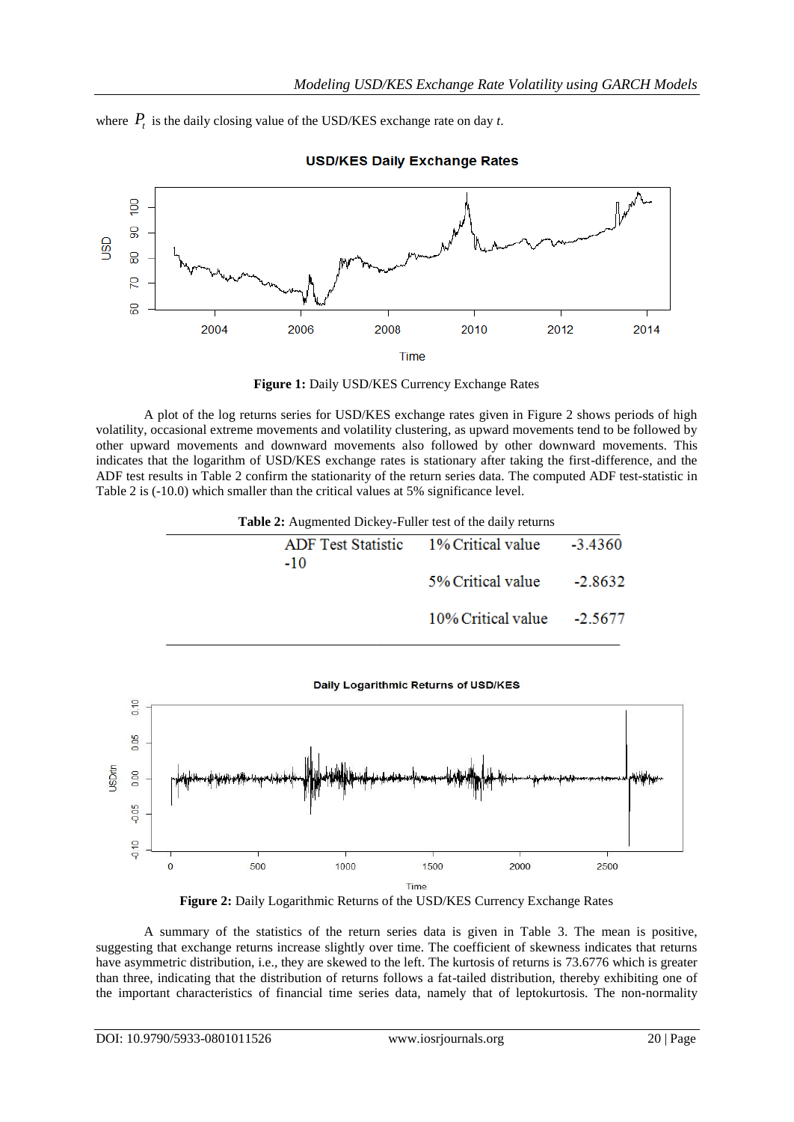where  $P_t$  is the daily closing value of the USD/KES exchange rate on day *t*.



**USD/KES Daily Exchange Rates** 



A plot of the log returns series for USD/KES exchange rates given in Figure 2 shows periods of high volatility, occasional extreme movements and volatility clustering, as upward movements tend to be followed by other upward movements and downward movements also followed by other downward movements. This indicates that the logarithm of USD/KES exchange rates is stationary after taking the first-difference, and the ADF test results in Table 2 confirm the stationarity of the return series data. The computed ADF test-statistic in Table 2 is (-10.0) which smaller than the critical values at 5% significance level.

**Table 2:** Augmented Dickey-Fuller test of the daily returns

| $-10$ | ADF Test Statistic 1% Critical value -3.4360 |           |
|-------|----------------------------------------------|-----------|
|       | 5% Critical value                            | $-2.8632$ |
|       | $10\%$ Critical value $-2.5677$              |           |

Daily Logarithmic Returns of USD/KES





A summary of the statistics of the return series data is given in Table 3. The mean is positive, suggesting that exchange returns increase slightly over time. The coefficient of skewness indicates that returns have asymmetric distribution, i.e., they are skewed to the left. The kurtosis of returns is 73.6776 which is greater than three, indicating that the distribution of returns follows a fat-tailed distribution, thereby exhibiting one of the important characteristics of financial time series data, namely that of leptokurtosis. The non-normality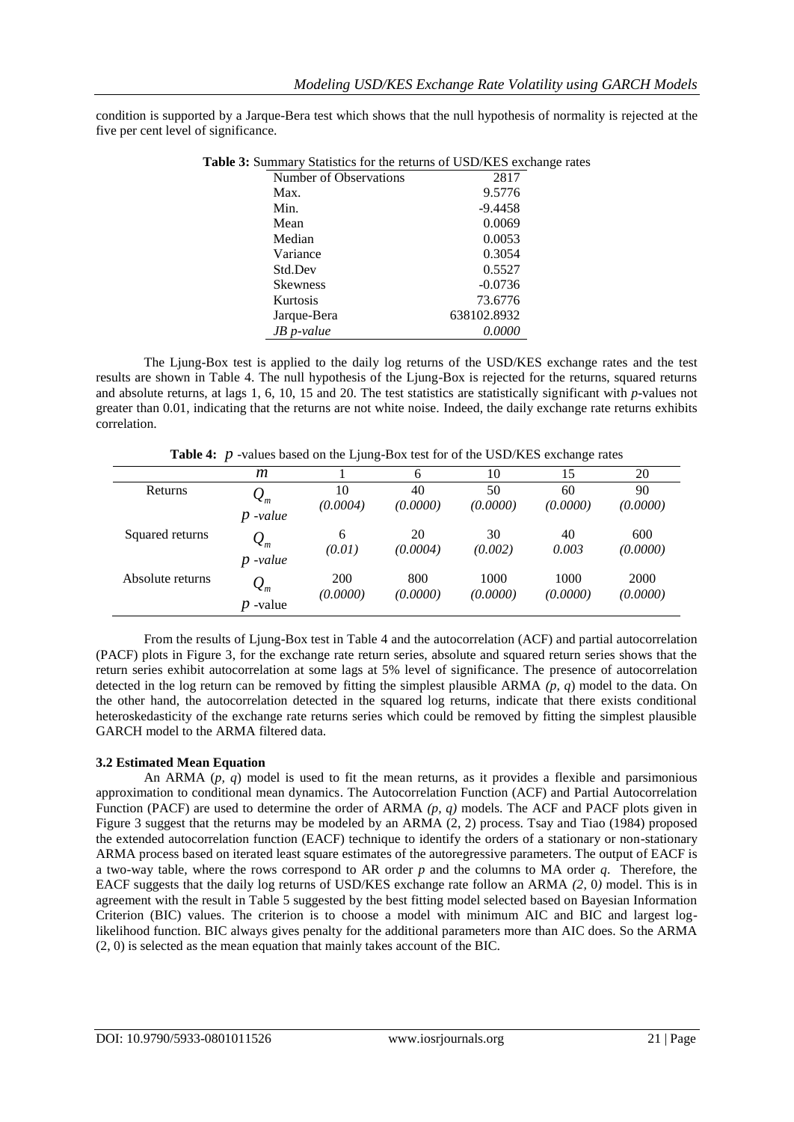condition is supported by a Jarque-Bera test which shows that the null hypothesis of normality is rejected at the five per cent level of significance.

| $\alpha$ . Summary Statistics for the features of OSD/KES exchange |             |  |  |  |  |  |
|--------------------------------------------------------------------|-------------|--|--|--|--|--|
| Number of Observations                                             | 2817        |  |  |  |  |  |
| Max.                                                               | 9.5776      |  |  |  |  |  |
| Min.                                                               | $-9.4458$   |  |  |  |  |  |
| Mean                                                               | 0.0069      |  |  |  |  |  |
| Median                                                             | 0.0053      |  |  |  |  |  |
| Variance                                                           | 0.3054      |  |  |  |  |  |
| Std.Dev                                                            | 0.5527      |  |  |  |  |  |
| <b>Skewness</b>                                                    | $-0.0736$   |  |  |  |  |  |
| Kurtosis                                                           | 73.6776     |  |  |  |  |  |
| Jarque-Bera                                                        | 638102.8932 |  |  |  |  |  |
| $JB$ p-value                                                       | 0.0000      |  |  |  |  |  |

**Table 3:** Summary Statistics for the returns of USD/KES exchange rates

The Ljung-Box test is applied to the daily log returns of the USD/KES exchange rates and the test results are shown in Table 4. The null hypothesis of the Ljung-Box is rejected for the returns, squared returns and absolute returns, at lags 1, 6, 10, 15 and 20. The test statistics are statistically significant with *p*-values not greater than 0.01, indicating that the returns are not white noise. Indeed, the daily exchange rate returns exhibits correlation.

Table 4: p -values based on the Ljung-Box test for of the USD/KES exchange rates

|                  | m                                             |                        | 6               | 10               | 15               | 20               |
|------------------|-----------------------------------------------|------------------------|-----------------|------------------|------------------|------------------|
| <b>Returns</b>   | $\mathcal{Q}_m$<br>-value<br>p                | 10<br>(0.0004)         | 40<br>(0.0000)  | 50<br>(0.0000)   | 60<br>(0.0000)   | 90<br>(0.0000)   |
| Squared returns  | $\mathcal{Q}_m$<br>-value<br>$\boldsymbol{p}$ | 6<br>(0.01)            | 20<br>(0.0004)  | 30<br>(0.002)    | 40<br>0.003      | 600<br>(0.0000)  |
| Absolute returns | $\mathcal{Q}_m$<br>-value<br>p                | <b>200</b><br>(0.0000) | 800<br>(0.0000) | 1000<br>(0.0000) | 1000<br>(0.0000) | 2000<br>(0.0000) |

From the results of Ljung-Box test in Table 4 and the autocorrelation (ACF) and partial autocorrelation (PACF) plots in Figure 3, for the exchange rate return series, absolute and squared return series shows that the return series exhibit autocorrelation at some lags at 5% level of significance. The presence of autocorrelation detected in the log return can be removed by fitting the simplest plausible ARMA *(p, q*) model to the data. On the other hand, the autocorrelation detected in the squared log returns, indicate that there exists conditional heteroskedasticity of the exchange rate returns series which could be removed by fitting the simplest plausible GARCH model to the ARMA filtered data.

## **3.2 Estimated Mean Equation**

An ARMA (*p, q*) model is used to fit the mean returns, as it provides a flexible and parsimonious approximation to conditional mean dynamics. The Autocorrelation Function (ACF) and Partial Autocorrelation Function (PACF) are used to determine the order of ARMA *(p, q)* models. The ACF and PACF plots given in Figure 3 suggest that the returns may be modeled by an ARMA (2, 2) process. Tsay and Tiao (1984) proposed the extended autocorrelation function (EACF) technique to identify the orders of a stationary or non-stationary ARMA process based on iterated least square estimates of the autoregressive parameters. The output of EACF is a two-way table, where the rows correspond to AR order *p* and the columns to MA order *q*. Therefore, the EACF suggests that the daily log returns of USD/KES exchange rate follow an ARMA *(2,* 0*)* model. This is in agreement with the result in Table 5 suggested by the best fitting model selected based on Bayesian Information Criterion (BIC) values. The criterion is to choose a model with minimum AIC and BIC and largest loglikelihood function. BIC always gives penalty for the additional parameters more than AIC does. So the ARMA (2, 0) is selected as the mean equation that mainly takes account of the BIC.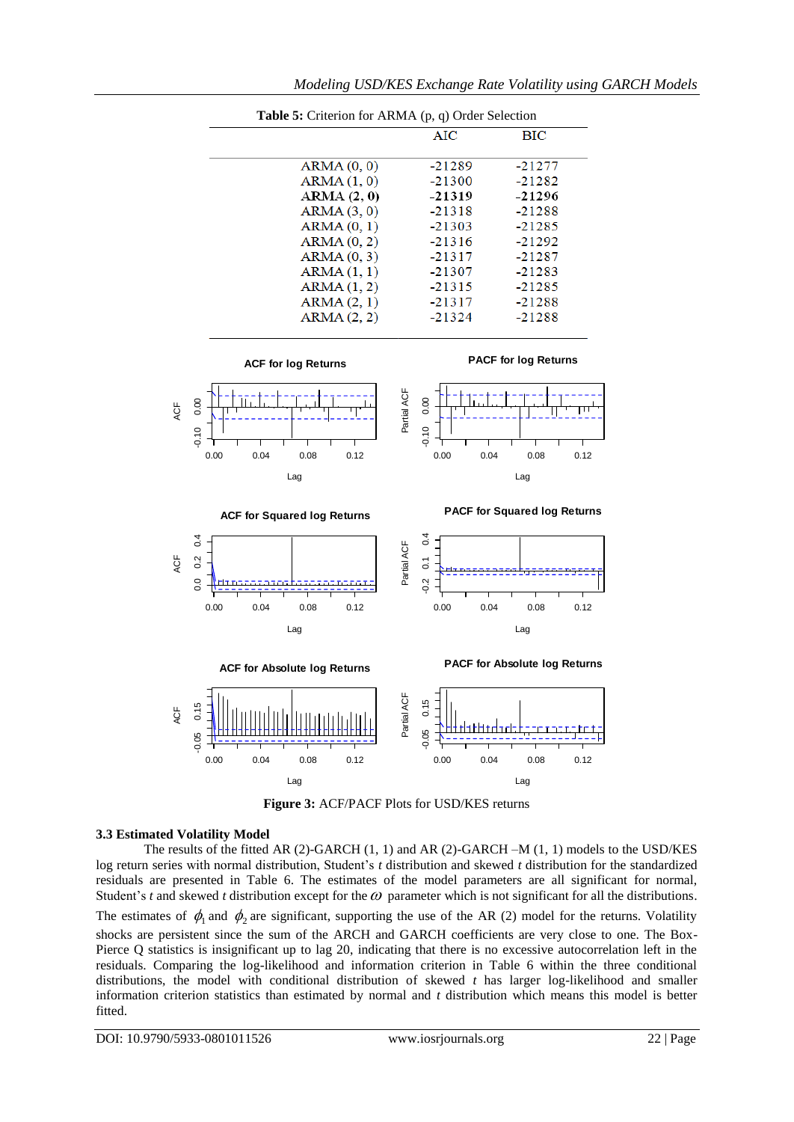

**Figure 3:** ACF/PACF Plots for USD/KES returns

## **3.3 Estimated Volatility Model**

The results of the fitted AR (2)-GARCH (1, 1) and AR (2)-GARCH –M (1, 1) models to the USD/KES log return series with normal distribution, Student's *t* distribution and skewed *t* distribution for the standardized residuals are presented in Table 6. The estimates of the model parameters are all significant for normal, Student's *t* and skewed *t* distribution except for the  $\omega$  parameter which is not significant for all the distributions.

The estimates of  $\phi_1$  and  $\phi_2$  are significant, supporting the use of the AR (2) model for the returns. Volatility shocks are persistent since the sum of the ARCH and GARCH coefficients are very close to one. The Box-Pierce Q statistics is insignificant up to lag 20, indicating that there is no excessive autocorrelation left in the residuals. Comparing the log-likelihood and information criterion in Table 6 within the three conditional distributions, the model with conditional distribution of skewed *t* has larger log-likelihood and smaller information criterion statistics than estimated by normal and *t* distribution which means this model is better fitted.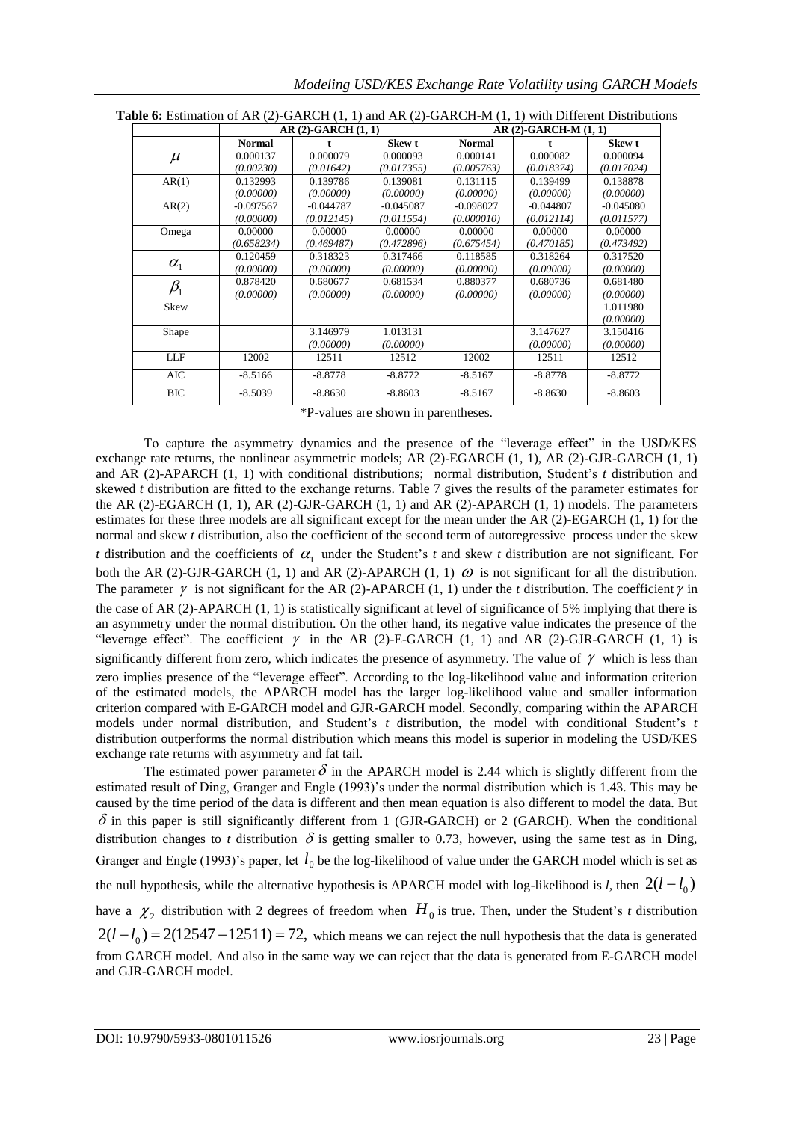|                                | $AR(2)-GARCH(1,1)$ |             |             | $AR(2)-GARCH-M(1,1)$ |             |             |  |
|--------------------------------|--------------------|-------------|-------------|----------------------|-------------|-------------|--|
|                                | <b>Normal</b>      |             | Skew t      | <b>Normal</b>        |             | Skew t      |  |
| $\mu$                          | 0.000137           | 0.000079    | 0.000093    | 0.000141             | 0.000082    | 0.000094    |  |
|                                | (0.00230)          | (0.01642)   | (0.017355)  | (0.005763)           | (0.018374)  | (0.017024)  |  |
| AR(1)                          | 0.132993           | 0.139786    | 0.139081    | 0.131115             | 0.139499    | 0.138878    |  |
|                                | (0.00000)          | (0.00000)   | (0.00000)   | (0.00000)            | (0.00000)   | (0.00000)   |  |
| AR(2)                          | $-0.097567$        | $-0.044787$ | $-0.045087$ | $-0.098027$          | $-0.044807$ | $-0.045080$ |  |
|                                | (0.00000)          | (0.012145)  | (0.011554)  | (0.000010)           | (0.012114)  | (0.011577)  |  |
| Omega                          | 0.00000            | 0.00000     | 0.00000     | 0.00000              | 0.00000     | 0.00000     |  |
|                                | (0.658234)         | (0.469487)  | (0.472896)  | (0.675454)           | (0.470185)  | (0.473492)  |  |
|                                | 0.120459           | 0.318323    | 0.317466    | 0.118585             | 0.318264    | 0.317520    |  |
| $\alpha_{1}$                   | (0.00000)          | (0.00000)   | (0.00000)   | (0.00000)            | (0.00000)   | (0.00000)   |  |
| $\beta_{\scriptscriptstyle 1}$ | 0.878420           | 0.680677    | 0.681534    | 0.880377             | 0.680736    | 0.681480    |  |
|                                | (0.00000)          | (0.00000)   | (0.00000)   | (0.00000)            | (0.00000)   | (0.00000)   |  |
| Skew                           |                    |             |             |                      |             | 1.011980    |  |
|                                |                    |             |             |                      |             | (0.00000)   |  |
| Shape                          |                    | 3.146979    | 1.013131    |                      | 3.147627    | 3.150416    |  |
|                                |                    | (0.00000)   | (0.00000)   |                      | (0.00000)   | (0.00000)   |  |
| <b>LLF</b>                     | 12002              | 12511       | 12512       | 12002                | 12511       | 12512       |  |
| AIC                            | $-8.5166$          | $-8.8778$   | $-8.8772$   | $-8.5167$            | $-8.8778$   | $-8.8772$   |  |
| <b>BIC</b>                     | $-8.5039$          | $-8.8630$   | $-8.8603$   | $-8.5167$            | $-8.8630$   | $-8.8603$   |  |

**Table 6:** Estimation of AR (2)-GARCH (1, 1) and AR (2)-GARCH-M (1, 1) with Different Distributions

\*P-values are shown in parentheses.

To capture the asymmetry dynamics and the presence of the "leverage effect" in the USD/KES exchange rate returns, the nonlinear asymmetric models; AR (2)-EGARCH (1, 1), AR (2)-GJR-GARCH (1, 1) and AR (2)-APARCH (1, 1) with conditional distributions; normal distribution, Student's *t* distribution and skewed *t* distribution are fitted to the exchange returns. Table 7 gives the results of the parameter estimates for the AR (2)-EGARCH  $(1, 1)$ , AR  $(2)$ -GJR-GARCH  $(1, 1)$  and AR  $(2)$ -APARCH  $(1, 1)$  models. The parameters estimates for these three models are all significant except for the mean under the AR (2)-EGARCH (1, 1) for the normal and skew *t* distribution, also the coefficient of the second term of autoregressive process under the skew *t* distribution and the coefficients of  $\alpha_1$  under the Student's *t* and skew *t* distribution are not significant. For both the AR (2)-GJR-GARCH (1, 1) and AR (2)-APARCH (1, 1)  $\omega$  is not significant for all the distribution. The parameter  $\gamma$  is not significant for the AR (2)-APARCH (1, 1) under the *t* distribution. The coefficient  $\gamma$  in the case of AR (2)-APARCH (1, 1) is statistically significant at level of significance of 5% implying that there is an asymmetry under the normal distribution. On the other hand, its negative value indicates the presence of the "leverage effect". The coefficient  $\gamma$  in the AR (2)-E-GARCH (1, 1) and AR (2)-GJR-GARCH (1, 1) is significantly different from zero, which indicates the presence of asymmetry. The value of  $\gamma$  which is less than zero implies presence of the "leverage effect". According to the log-likelihood value and information criterion of the estimated models, the APARCH model has the larger log-likelihood value and smaller information criterion compared with E-GARCH model and GJR-GARCH model. Secondly, comparing within the APARCH models under normal distribution, and Student's *t* distribution, the model with conditional Student's *t* distribution outperforms the normal distribution which means this model is superior in modeling the USD/KES exchange rate returns with asymmetry and fat tail.

The estimated power parameter  $\delta$  in the APARCH model is 2.44 which is slightly different from the estimated result of Ding, Granger and Engle (1993)'s under the normal distribution which is 1.43. This may be caused by the time period of the data is different and then mean equation is also different to model the data. But  $\delta$  in this paper is still significantly different from 1 (GJR-GARCH) or 2 (GARCH). When the conditional distribution changes to *t* distribution  $\delta$  is getting smaller to 0.73, however, using the same test as in Ding, Granger and Engle (1993)'s paper, let  $l_0$  be the log-likelihood of value under the GARCH model which is set as the null hypothesis, while the alternative hypothesis is APARCH model with log-likelihood is *l*, then  $2(l - l_0)$ have a  $\chi_2$  distribution with 2 degrees of freedom when  $H_0$  is true. Then, under the Student's t distribution  $2(l - l_0) = 2(12547 - 12511) = 72$ , which means we can reject the null hypothesis that the data is generated from GARCH model. And also in the same way we can reject that the data is generated from E-GARCH model and GJR-GARCH model.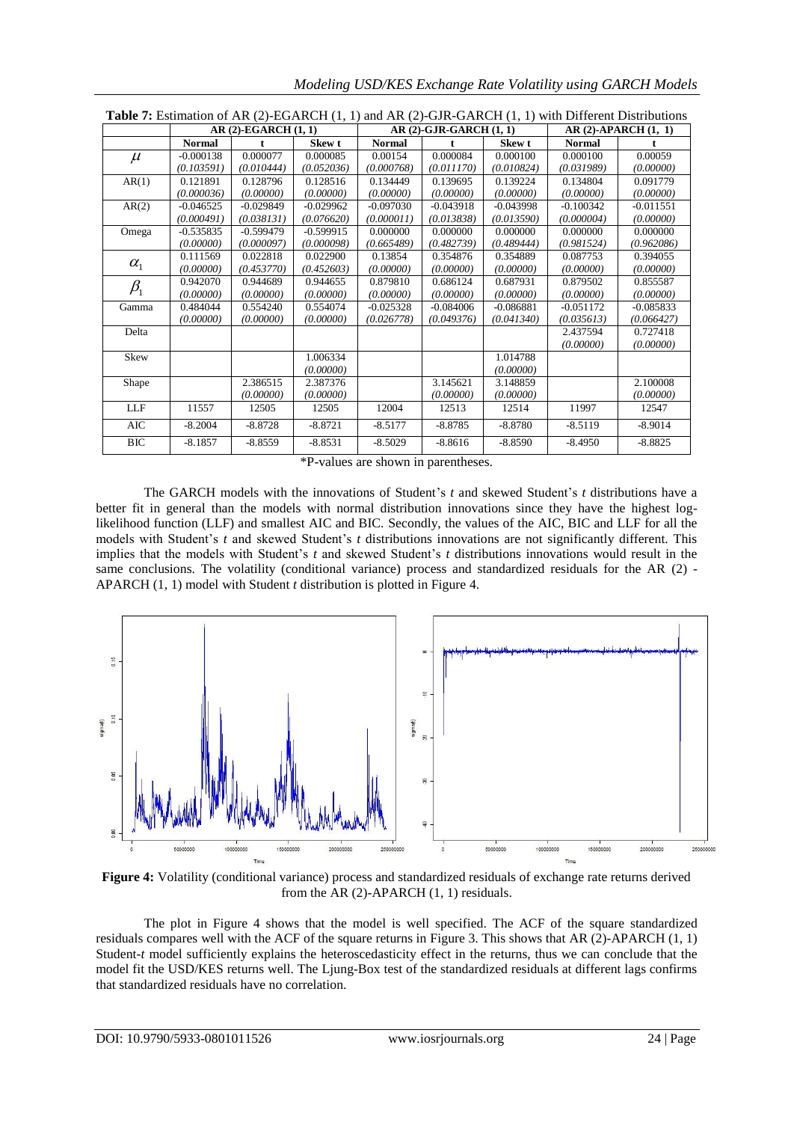| <b>Table 7:</b> Estimation of AR $(2)$ -EGARCH $(1, 1)$ and AR $(2)$ -GJR-GARCH $(1, 1)$ with Different Distributions |                      |             |             |                         |             |             |                             |             |
|-----------------------------------------------------------------------------------------------------------------------|----------------------|-------------|-------------|-------------------------|-------------|-------------|-----------------------------|-------------|
|                                                                                                                       | $AR(2)-EGARCH(1, 1)$ |             |             | $AR(2)-GJR-GARCH(1, 1)$ |             |             | <b>AR (2)-APARCH (1, 1)</b> |             |
|                                                                                                                       | <b>Normal</b>        |             | Skew t      | <b>Normal</b>           |             | Skew t      | <b>Normal</b>               |             |
| $\mu$                                                                                                                 | $-0.000138$          | 0.000077    | 0.000085    | 0.00154                 | 0.000084    | 0.000100    | 0.000100                    | 0.00059     |
|                                                                                                                       | (0.103591)           | (0.010444)  | (0.052036)  | (0.000768)              | (0.011170)  | (0.010824)  | (0.031989)                  | (0.00000)   |
| AR(1)                                                                                                                 | 0.121891             | 0.128796    | 0.128516    | 0.134449                | 0.139695    | 0.139224    | 0.134804                    | 0.091779    |
|                                                                                                                       | (0.000036)           | (0,00000)   | (0.00000)   | (0.00000)               | (0.00000)   | (0.00000)   | (0.00000)                   | (0.00000)   |
| AR(2)                                                                                                                 | $-0.046525$          | $-0.029849$ | $-0.029962$ | $-0.097030$             | $-0.043918$ | $-0.043998$ | $-0.100342$                 | $-0.011551$ |
|                                                                                                                       | (0.000491)           | (0.038131)  | (0.076620)  | (0.000011)              | (0.013838)  | (0.013590)  | (0.000004)                  | (0.00000)   |
| Omega                                                                                                                 | $-0.535835$          | $-0.599479$ | $-0.599915$ | 0.000000                | 0.000000    | 0.000000    | 0.000000                    | 0.000000    |
|                                                                                                                       | (0.00000)            | (0.000097)  | (0.000098)  | (0.665489)              | (0.482739)  | (0.489444)  | (0.981524)                  | (0.962086)  |
| $\alpha_{1}$                                                                                                          | 0.111569             | 0.022818    | 0.022900    | 0.13854                 | 0.354876    | 0.354889    | 0.087753                    | 0.394055    |
|                                                                                                                       | (0.00000)            | (0.453770)  | (0.452603)  | (0.00000)               | (0.00000)   | (0.00000)   | (0.00000)                   | (0.00000)   |
| $\beta_{1}$                                                                                                           | 0.942070             | 0.944689    | 0.944655    | 0.879810                | 0.686124    | 0.687931    | 0.879502                    | 0.855587    |
|                                                                                                                       | (0.00000)            | (0,00000)   | (0.00000)   | (0.00000)               | (0.00000)   | (0.00000)   | (0.00000)                   | (0.00000)   |
| Gamma                                                                                                                 | 0.484044             | 0.554240    | 0.554074    | $-0.025328$             | $-0.084006$ | $-0.086881$ | $-0.051172$                 | $-0.085833$ |
|                                                                                                                       | (0.00000)            | (0,00000)   | (0.00000)   | (0.026778)              | (0.049376)  | (0.041340)  | (0.035613)                  | (0.066427)  |
| Delta                                                                                                                 |                      |             |             |                         |             |             | 2.437594                    | 0.727418    |
|                                                                                                                       |                      |             |             |                         |             |             | (0.00000)                   | (0.00000)   |
| Skew                                                                                                                  |                      |             | 1.006334    |                         |             | 1.014788    |                             |             |
|                                                                                                                       |                      |             | (0.00000)   |                         |             | (0.00000)   |                             |             |
| Shape                                                                                                                 |                      | 2.386515    | 2.387376    |                         | 3.145621    | 3.148859    |                             | 2.100008    |
|                                                                                                                       |                      | (0.00000)   | (0.00000)   |                         | (0.00000)   | (0.00000)   |                             | (0.00000)   |
| LLF                                                                                                                   | 11557                | 12505       | 12505       | 12004                   | 12513       | 12514       | 11997                       | 12547       |
| AIC                                                                                                                   | $-8.2004$            | $-8.8728$   | $-8.8721$   | $-8.5177$               | $-8.8785$   | $-8.8780$   | $-8.5119$                   | $-8.9014$   |
| <b>BIC</b>                                                                                                            | $-8.1857$            | $-8.8559$   | $-8.8531$   | $-8.5029$               | $-8.8616$   | $-8.8590$   | $-8.4950$                   | $-8.8825$   |

*Modeling USD/KES Exchange Rate Volatility using GARCH Models* 

\*P-values are shown in parentheses.

The GARCH models with the innovations of Student's *t* and skewed Student's *t* distributions have a better fit in general than the models with normal distribution innovations since they have the highest loglikelihood function (LLF) and smallest AIC and BIC. Secondly, the values of the AIC, BIC and LLF for all the models with Student's *t* and skewed Student's *t* distributions innovations are not significantly different. This implies that the models with Student's *t* and skewed Student's *t* distributions innovations would result in the same conclusions. The volatility (conditional variance) process and standardized residuals for the AR (2) -APARCH (1, 1) model with Student *t* distribution is plotted in Figure 4.



**Figure 4:** Volatility (conditional variance) process and standardized residuals of exchange rate returns derived from the AR (2)-APARCH (1, 1) residuals.

The plot in Figure 4 shows that the model is well specified. The ACF of the square standardized residuals compares well with the ACF of the square returns in Figure 3. This shows that AR (2)-APARCH (1, 1) Student-*t* model sufficiently explains the heteroscedasticity effect in the returns, thus we can conclude that the model fit the USD/KES returns well. The Ljung-Box test of the standardized residuals at different lags confirms that standardized residuals have no correlation.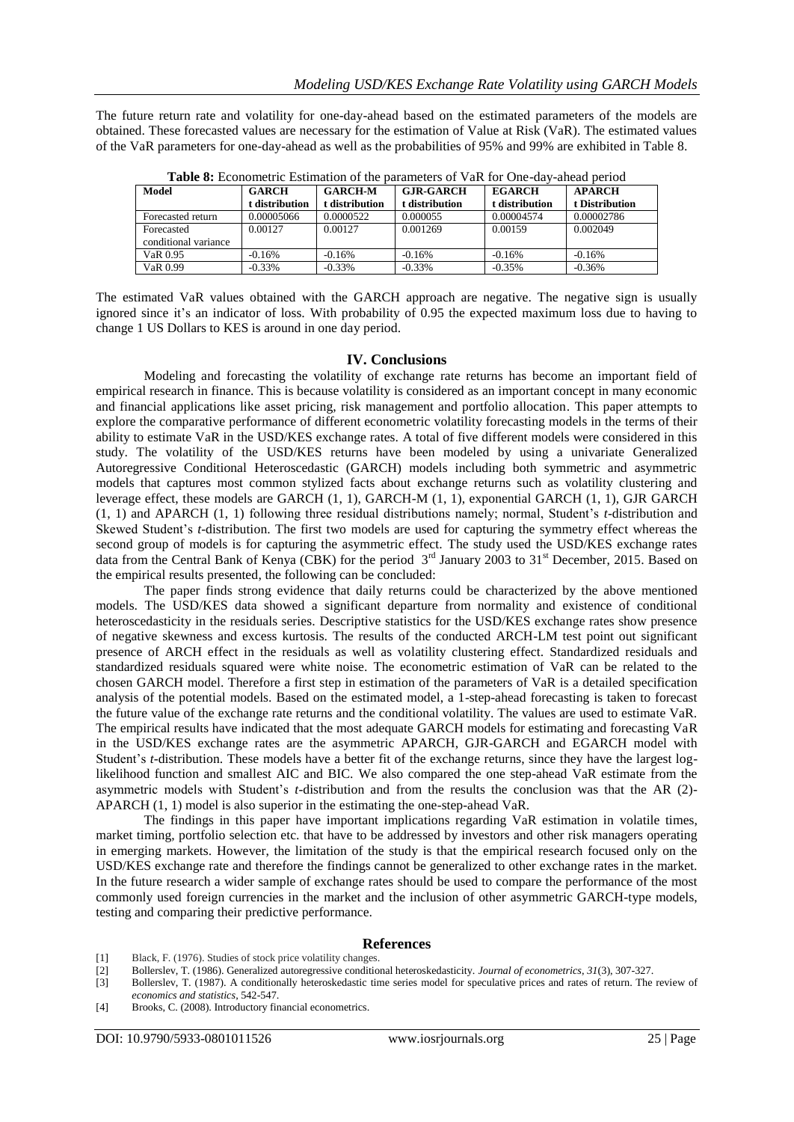The future return rate and volatility for one-day-ahead based on the estimated parameters of the models are obtained. These forecasted values are necessary for the estimation of Value at Risk (VaR). The estimated values of the VaR parameters for one-day-ahead as well as the probabilities of 95% and 99% are exhibited in Table 8.

| <b>Table 6:</b> Econometric Estimation of the parameters of van for One-Gav-allead befour |                |                |                  |                |                |  |  |  |
|-------------------------------------------------------------------------------------------|----------------|----------------|------------------|----------------|----------------|--|--|--|
| Model                                                                                     | <b>GARCH</b>   | <b>GARCH-M</b> | <b>GJR-GARCH</b> | <b>EGARCH</b>  | <b>APARCH</b>  |  |  |  |
|                                                                                           | t distribution | t distribution | t distribution   | t distribution | t Distribution |  |  |  |
| Forecasted return                                                                         | 0.00005066     | 0.0000522      | 0.000055         | 0.00004574     | 0.00002786     |  |  |  |
| Forecasted                                                                                | 0.00127        | 0.00127        | 0.001269         | 0.00159        | 0.002049       |  |  |  |
| conditional variance                                                                      |                |                |                  |                |                |  |  |  |
| VaR 0.95                                                                                  | $-0.16%$       | $-0.16%$       | $-0.16%$         | $-0.16%$       | $-0.16%$       |  |  |  |
| VaR 0.99                                                                                  | $-0.33%$       | $-0.33%$       | $-0.33%$         | $-0.35%$       | $-0.36%$       |  |  |  |

**Table 8:** Econometric Estimation of the parameters of VaR for One-day-ahead period

The estimated VaR values obtained with the GARCH approach are negative. The negative sign is usually ignored since it's an indicator of loss. With probability of 0.95 the expected maximum loss due to having to change 1 US Dollars to KES is around in one day period.

## **IV. Conclusions**

Modeling and forecasting the volatility of exchange rate returns has become an important field of empirical research in finance. This is because volatility is considered as an important concept in many economic and financial applications like asset pricing, risk management and portfolio allocation. This paper attempts to explore the comparative performance of different econometric volatility forecasting models in the terms of their ability to estimate VaR in the USD/KES exchange rates. A total of five different models were considered in this study. The volatility of the USD/KES returns have been modeled by using a univariate Generalized Autoregressive Conditional Heteroscedastic (GARCH) models including both symmetric and asymmetric models that captures most common stylized facts about exchange returns such as volatility clustering and leverage effect, these models are GARCH (1, 1), GARCH-M (1, 1), exponential GARCH (1, 1), GJR GARCH (1, 1) and APARCH (1, 1) following three residual distributions namely; normal, Student's *t*-distribution and Skewed Student's *t*-distribution. The first two models are used for capturing the symmetry effect whereas the second group of models is for capturing the asymmetric effect. The study used the USD/KES exchange rates data from the Central Bank of Kenya (CBK) for the period 3<sup>rd</sup> January 2003 to 31<sup>st</sup> December, 2015. Based on the empirical results presented, the following can be concluded:

The paper finds strong evidence that daily returns could be characterized by the above mentioned models. The USD/KES data showed a significant departure from normality and existence of conditional heteroscedasticity in the residuals series. Descriptive statistics for the USD/KES exchange rates show presence of negative skewness and excess kurtosis. The results of the conducted ARCH-LM test point out significant presence of ARCH effect in the residuals as well as volatility clustering effect. Standardized residuals and standardized residuals squared were white noise. The econometric estimation of VaR can be related to the chosen GARCH model. Therefore a first step in estimation of the parameters of VaR is a detailed specification analysis of the potential models. Based on the estimated model, a 1-step-ahead forecasting is taken to forecast the future value of the exchange rate returns and the conditional volatility. The values are used to estimate VaR. The empirical results have indicated that the most adequate GARCH models for estimating and forecasting VaR in the USD/KES exchange rates are the asymmetric APARCH, GJR-GARCH and EGARCH model with Student's *t*-distribution. These models have a better fit of the exchange returns, since they have the largest loglikelihood function and smallest AIC and BIC. We also compared the one step-ahead VaR estimate from the asymmetric models with Student's *t*-distribution and from the results the conclusion was that the AR (2)- APARCH (1, 1) model is also superior in the estimating the one-step-ahead VaR.

The findings in this paper have important implications regarding VaR estimation in volatile times, market timing, portfolio selection etc. that have to be addressed by investors and other risk managers operating in emerging markets. However, the limitation of the study is that the empirical research focused only on the USD/KES exchange rate and therefore the findings cannot be generalized to other exchange rates in the market. In the future research a wider sample of exchange rates should be used to compare the performance of the most commonly used foreign currencies in the market and the inclusion of other asymmetric GARCH-type models, testing and comparing their predictive performance.

## **References**

- [1] Black, F. (1976). Studies of stock price volatility changes.
- [2] Bollerslev, T. (1986). Generalized autoregressive conditional heteroskedasticity. *Journal of econometrics*, *31*(3), 307-327.

[3] Bollerslev, T. (1987). A conditionally heteroskedastic time series model for speculative prices and rates of return. The review of *economics and statistics*, 542-547.

[4] Brooks, C. (2008). Introductory financial econometrics.